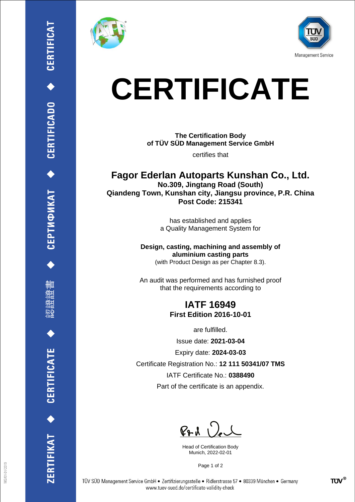ĦШ

CERTIFICATE

RTIFIKAT<sup>+</sup>





## **CERTIFICATE**

**The Certification Body of TÜV SÜD Management Service GmbH**

certifies that

**Fagor Ederlan Autoparts Kunshan Co., Ltd. No.309, Jingtang Road (South) Qiandeng Town, Kunshan city, Jiangsu province, P.R. China Post Code: 215341**

> has established and applies a Quality Management System for

**Design, casting, machining and assembly of aluminium casting parts** (with Product Design as per Chapter 8.3).

An audit was performed and has furnished proof that the requirements according to

## **IATF 16949 First Edition 2016-10-01**

are fulfilled.

Issue date: **2021-03-04**

Expiry date: **2024-03-03**

Certificate Registration No.: **12 111 50341/07 TMS**

IATF Certificate No.: **0388490**

Part of the certificate is an appendix.

 $P+A$ 

Head of Certification Body Munich, 2022-02-01

Page 1 of 2